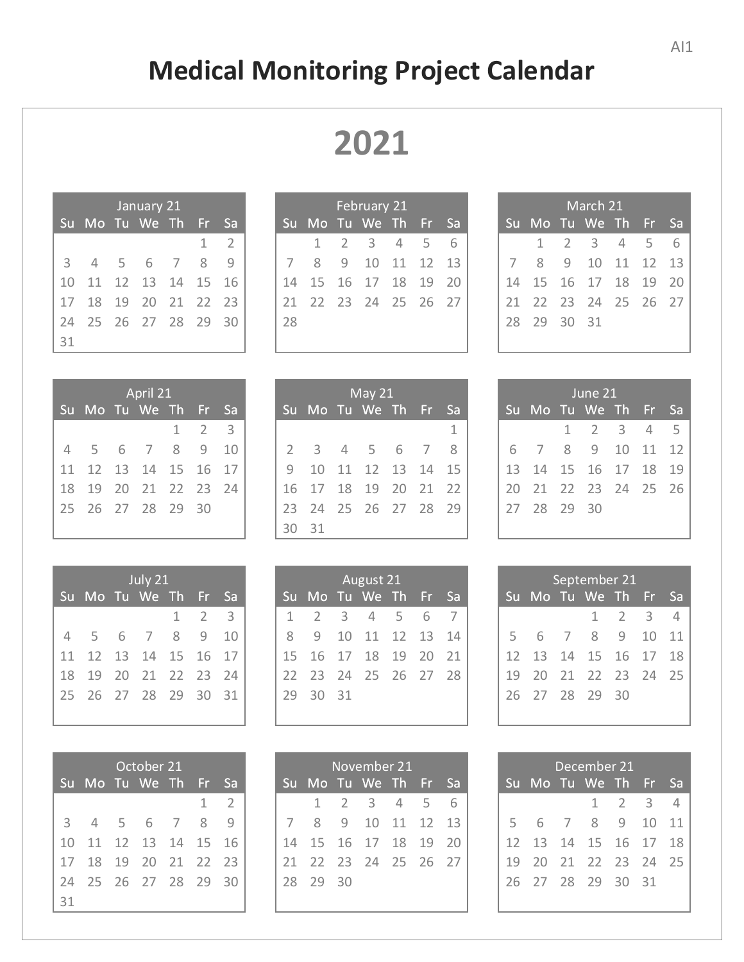## **Medical Monitoring Project Calendar**

| January 21 |                |     |                |                |              |      |  |  |
|------------|----------------|-----|----------------|----------------|--------------|------|--|--|
| Su         | Mo Tu We Th Fr |     |                |                |              | Sa   |  |  |
|            |                |     |                |                | $\mathbf{1}$ | - 2  |  |  |
| 3          | $\overline{4}$ | - 5 | - 6            | $\overline{7}$ | 8            | q    |  |  |
| 10         |                |     | 11 12 13 14 15 |                |              | - 16 |  |  |
| 17         | 18             |     | 19 20 21 22    |                |              | - 23 |  |  |
| 24         | 25 26 27 28 29 |     |                |                |              | - 30 |  |  |
| 31         |                |     |                |                |              |      |  |  |

| February 21 |                        |  |                 |  |  |  |  |  |
|-------------|------------------------|--|-----------------|--|--|--|--|--|
| Su          | Mo Tu We Th Fr Sa      |  |                 |  |  |  |  |  |
|             |                        |  | 1 2 3 4 5 6     |  |  |  |  |  |
|             |                        |  | 8 9 10 11 12 13 |  |  |  |  |  |
| 14          | 15  16  17  18  19  20 |  |                 |  |  |  |  |  |
|             | 21 22 23 24 25 26 27   |  |                 |  |  |  |  |  |
| 28          |                        |  |                 |  |  |  |  |  |
|             |                        |  |                 |  |  |  |  |  |

| April 21 |                   |     |                    |   |             |               |  |  |
|----------|-------------------|-----|--------------------|---|-------------|---------------|--|--|
| Su       | Mo Tu We Th Fr Sa |     |                    |   |             |               |  |  |
|          |                   |     |                    |   | $1 \quad 2$ | $\rightarrow$ |  |  |
| 4        | - 5               | - 6 | $7\overline{ }$    | 8 | q           | - 10          |  |  |
| 11       |                   |     | 12  13  14  15  16 |   |             | 17            |  |  |
| 18       | 19                |     | 20 21 22 23        |   |             | - 24          |  |  |
| 25       | 26 27 28 29       |     |                    |   | - 30        |               |  |  |
|          |                   |     |                    |   |             |               |  |  |

| July 21 |                        |  |                   |  |                     |           |  |
|---------|------------------------|--|-------------------|--|---------------------|-----------|--|
| 'Su     | Mo Tu We Th Fr         |  |                   |  |                     | <b>Sa</b> |  |
|         |                        |  |                   |  | $1 \quad 2 \quad 3$ |           |  |
| 4       | 5 <sup>5</sup>         |  | 6 7 8 9           |  |                     | 10        |  |
|         | 11 12 13 14 15 16 17   |  |                   |  |                     |           |  |
| 18      |                        |  | 19 20 21 22 23 24 |  |                     |           |  |
|         | 25  26  27  28  29  30 |  |                   |  |                     | 31        |  |
|         |                        |  |                   |  |                     |           |  |

|    |                            | October 21        |   |                |
|----|----------------------------|-------------------|---|----------------|
|    | <u>Su Mo Tu We The Fri</u> |                   |   | ∟ Sa           |
|    |                            |                   | 1 | $\overline{2}$ |
|    | 3 4 5 6 7                  |                   | 8 | q              |
| 10 |                            | 11 12 13 14 15 16 |   |                |
| 17 | 18                         | 19 20 21 22 23    |   |                |
| 74 | 25 26 27 28 29             |                   |   | - 30           |
| 31 |                            |                   |   |                |

| May $21$       |                   |  |                        |  |  |           |  |  |
|----------------|-------------------|--|------------------------|--|--|-----------|--|--|
| Su             | Mo Tu We Th Fr    |  |                        |  |  | <b>Sa</b> |  |  |
|                |                   |  |                        |  |  | 1         |  |  |
| $\overline{2}$ |                   |  | 3 4 5 6 7              |  |  | 8         |  |  |
| $\mathsf{Q}$   | 10                |  | 11 12 13 14 15         |  |  |           |  |  |
| 16             |                   |  | 17  18  19  20  21  22 |  |  |           |  |  |
| 23             | 24 25 26 27 28 29 |  |                        |  |  |           |  |  |
| っ              | 31                |  |                        |  |  |           |  |  |

| <b>August 21</b> |                      |                         |                |   |     |    |  |  |
|------------------|----------------------|-------------------------|----------------|---|-----|----|--|--|
|                  | Su Mo Tu We Th Fr Sa |                         |                |   |     |    |  |  |
| $\mathbf{1}$     | $\sqrt{2}$           | $\overline{\mathbf{3}}$ | $\overline{4}$ | 5 | - 6 | 7  |  |  |
| 8                | $\mathcal{Q}$        |                         | 10 11 12 13 14 |   |     |    |  |  |
|                  | 15 16 17 18 19 20    |                         |                |   |     | 21 |  |  |
|                  | 22 23 24 25 26 27 28 |                         |                |   |     |    |  |  |
| 29               | - 30                 | 31                      |                |   |     |    |  |  |
|                  |                      |                         |                |   |     |    |  |  |

| November 21 |                                  |  |                         |  |  |  |  |  |
|-------------|----------------------------------|--|-------------------------|--|--|--|--|--|
|             | Su Mo Tu We Th Fr Sa             |  |                         |  |  |  |  |  |
|             |                                  |  | $1 \t2 \t3 \t4 \t5 \t6$ |  |  |  |  |  |
|             | 7 8 9 10 11 12 13                |  |                         |  |  |  |  |  |
|             | 14   15   16   17   18   19   20 |  |                         |  |  |  |  |  |
|             | 21 22 23 24 25 26 27             |  |                         |  |  |  |  |  |
|             | 28 29 30                         |  |                         |  |  |  |  |  |

| March 21 |                                  |  |                     |  |  |   |  |
|----------|----------------------------------|--|---------------------|--|--|---|--|
|          | Su Mo Tu We Th Fr Sa             |  |                     |  |  |   |  |
|          |                                  |  | $1 \t2 \t3 \t4 \t5$ |  |  | 6 |  |
|          | 7 8 9 10 11 12 13                |  |                     |  |  |   |  |
|          | 14   15   16   17   18   19   20 |  |                     |  |  |   |  |
| 21.      | 22 23 24 25 26 27                |  |                     |  |  |   |  |
| 28.      | 29 30 31                         |  |                     |  |  |   |  |
|          |                                  |  |                     |  |  |   |  |

| June 21 |                      |  |           |  |  |  |  |  |
|---------|----------------------|--|-----------|--|--|--|--|--|
|         | Su Mo Tu We Th Fr Sa |  |           |  |  |  |  |  |
|         |                      |  | 1 2 3 4 5 |  |  |  |  |  |
|         | 6 7 8 9 10 11 12     |  |           |  |  |  |  |  |
|         | 13 14 15 16 17 18 19 |  |           |  |  |  |  |  |
| 20      | 21 22 23 24 25 26    |  |           |  |  |  |  |  |
|         | 27 28 29 30          |  |           |  |  |  |  |  |
|         |                      |  |           |  |  |  |  |  |

| September 21 |                            |  |  |      |                     |           |  |  |
|--------------|----------------------------|--|--|------|---------------------|-----------|--|--|
| Su           | Mo Tu We Th Fr             |  |  |      |                     | <b>Sa</b> |  |  |
|              |                            |  |  |      | $1 \quad 2 \quad 3$ | 4         |  |  |
|              | 5 6 7 8 9 10               |  |  |      |                     | $-11$     |  |  |
|              | 12  13  14  15  16  17  18 |  |  |      |                     |           |  |  |
|              | 19 20 21 22 23 24 25       |  |  |      |                     |           |  |  |
|              | 26 27 28 29                |  |  | - 30 |                     |           |  |  |
|              |                            |  |  |      |                     |           |  |  |

| December 21 |                      |  |  |             |  |           |  |  |
|-------------|----------------------|--|--|-------------|--|-----------|--|--|
|             | Su Mo Tu We Th Fr    |  |  |             |  | <b>Sa</b> |  |  |
|             |                      |  |  | $1 \t2 \t3$ |  | 4         |  |  |
| 5           | 6 7 8 9 10           |  |  |             |  | $-11$     |  |  |
|             | 12 13 14 15 16 17 18 |  |  |             |  |           |  |  |
|             | 19 20 21 22 23 24 25 |  |  |             |  |           |  |  |
|             | 26 27 28 29 30 31    |  |  |             |  |           |  |  |
|             |                      |  |  |             |  |           |  |  |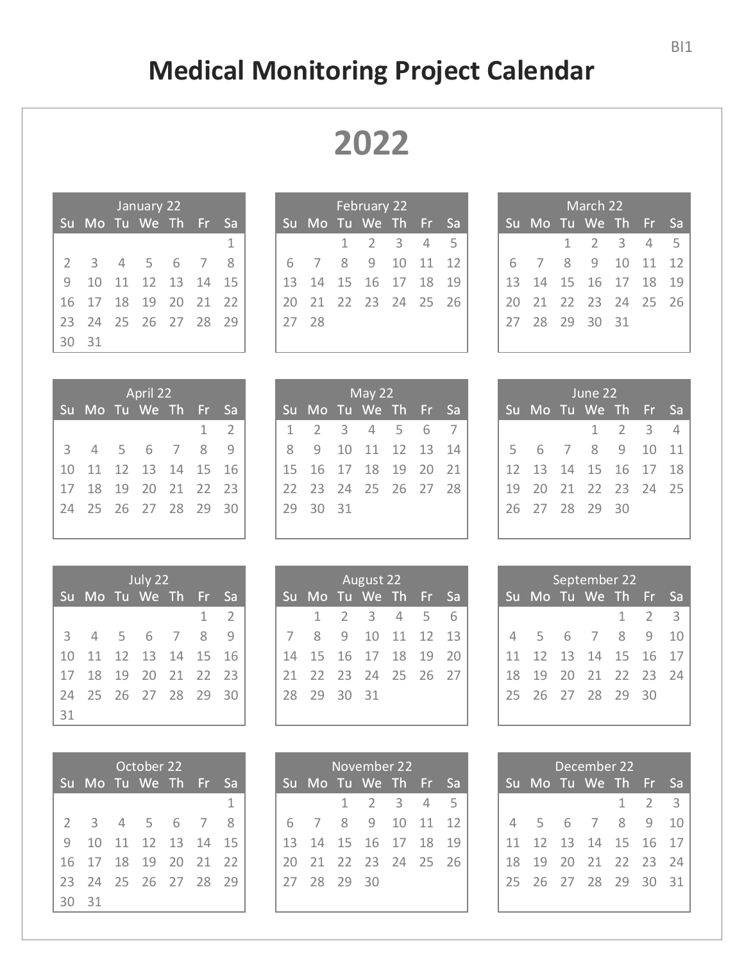## **Medical Monitoring Project Calendar**

| January 22    |                         |                |             |  |                |    |  |  |
|---------------|-------------------------|----------------|-------------|--|----------------|----|--|--|
|               | Su Mo Tu We Th Fr       |                |             |  |                | Sa |  |  |
|               |                         |                |             |  |                | 1  |  |  |
| $\mathcal{P}$ | $\overline{\mathbf{3}}$ | $\overline{4}$ | 5 6         |  | $\overline{7}$ | 8  |  |  |
| $\mathcal{Q}$ | 10                      |                | 11 12 13 14 |  |                | 15 |  |  |
| 16            | 17 18                   |                | 19 20 21    |  |                | 22 |  |  |
| 23            | 24 25 26 27 28 29       |                |             |  |                |    |  |  |
| 30            | $-31$                   |                |             |  |                |    |  |  |

| February 22 |                        |     |                     |  |  |      |  |  |
|-------------|------------------------|-----|---------------------|--|--|------|--|--|
| Su          | Mo Tu We Th Fr         |     |                     |  |  | ' Sa |  |  |
|             |                        |     | $1 \t2 \t3 \t4 \t5$ |  |  |      |  |  |
| 6           |                        | - 8 | 9 10 11 12          |  |  |      |  |  |
|             | 13  14  15  16  17  18 |     |                     |  |  | 19   |  |  |
| 20          | 21 22 23 24 25 26      |     |                     |  |  |      |  |  |
| 27          | 28                     |     |                     |  |  |      |  |  |
|             |                        |     |                     |  |  |      |  |  |

| April 22       |       |    |                   |                |   |                |  |  |
|----------------|-------|----|-------------------|----------------|---|----------------|--|--|
|                |       |    | Su Mo Tu We Th Fr |                |   | <b>Sa</b>      |  |  |
|                |       |    |                   |                | 1 | $\overline{2}$ |  |  |
| 3 <sup>7</sup> | 4 5 6 |    |                   | $\overline{7}$ | 8 |                |  |  |
| 10             |       |    | 11 12 13 14 15    |                |   | 16             |  |  |
| 17             | 18    | 19 | 20 21 22 23       |                |   |                |  |  |
| 24             |       |    | 25 26 27 28 29    |                |   | -30            |  |  |
|                |       |    |                   |                |   |                |  |  |

| July 22 |                      |            |                   |                |   |      |  |  |
|---------|----------------------|------------|-------------------|----------------|---|------|--|--|
|         | Su Mo Tu We Th Fr Sa |            |                   |                |   |      |  |  |
|         |                      |            |                   |                | 1 | - 2  |  |  |
|         | $3 \quad 4$          | $5\quad 6$ |                   | $\overline{7}$ | 8 | q    |  |  |
| 10      |                      |            | 11 12 13 14 15 16 |                |   |      |  |  |
| 17      | 18                   | 19         | 20 21 22 23       |                |   |      |  |  |
| 24      | 25 26 27 28 29       |            |                   |                |   | - 30 |  |  |
| 31      |                      |            |                   |                |   |      |  |  |

| October 22     |                          |  |                |  |                |      |  |  |
|----------------|--------------------------|--|----------------|--|----------------|------|--|--|
|                | <u>Su Mo Tu We Th Fr</u> |  |                |  |                | ∟ Sā |  |  |
|                |                          |  |                |  |                | 1    |  |  |
| $\overline{2}$ | - 3                      |  | 4 5 6          |  | $\overline{7}$ | 8    |  |  |
| $\mathcal{Q}$  | 10                       |  | 11 12 13 14 15 |  |                |      |  |  |
|                | 16 17 18 19 20 21 22     |  |                |  |                |      |  |  |
| 23             | 24 25 26 27 28 29        |  |                |  |                |      |  |  |
| 2              | 31                       |  |                |  |                |      |  |  |

| May $22$ |                            |    |                  |  |  |  |  |  |
|----------|----------------------------|----|------------------|--|--|--|--|--|
| Su       | Mo Tu We Th Fr Sa          |    |                  |  |  |  |  |  |
|          | 1 2 3 4 5 6 7              |    |                  |  |  |  |  |  |
| 8        |                            |    | 9 10 11 12 13 14 |  |  |  |  |  |
|          | 15  16  17  18  19  20  21 |    |                  |  |  |  |  |  |
|          | 22 23 24 25 26 27 28       |    |                  |  |  |  |  |  |
| 29       | - 30                       | 31 |                  |  |  |  |  |  |

| <b>August 22</b> |                            |              |             |     |  |   |  |  |
|------------------|----------------------------|--------------|-------------|-----|--|---|--|--|
|                  | Su Mo Tu We Th Fr Sa       |              |             |     |  |   |  |  |
|                  | 1                          | <sup>2</sup> | $-3$        | 4 5 |  | 6 |  |  |
| 7                | 8                          | <sup>o</sup> | 10 11 12 13 |     |  |   |  |  |
|                  | 14  15  16  17  18  19  20 |              |             |     |  |   |  |  |
|                  | 21 22 23 24 25 26 27       |              |             |     |  |   |  |  |
| 28               | 29 30                      |              | 31          |     |  |   |  |  |
|                  |                            |              |             |     |  |   |  |  |

| November 22 |                      |  |                     |  |  |      |  |  |
|-------------|----------------------|--|---------------------|--|--|------|--|--|
|             | Su Mo Tu We Th Fr    |  |                     |  |  | - Sa |  |  |
|             |                      |  | $1 \t2 \t3 \t4 \t5$ |  |  |      |  |  |
|             | 6 7 8 9 10 11 12     |  |                     |  |  |      |  |  |
|             | 13 14 15 16 17 18 19 |  |                     |  |  |      |  |  |
| 20          | 21 22 23 24 25 26    |  |                     |  |  |      |  |  |
|             | 27 28 29 30          |  |                     |  |  |      |  |  |

| March 22 |                      |  |                |  |  |  |  |  |
|----------|----------------------|--|----------------|--|--|--|--|--|
|          | Su Mo Tu We Th Fr Sa |  |                |  |  |  |  |  |
|          |                      |  | 1 2 3 4 5      |  |  |  |  |  |
| 6.       |                      |  | 7 8 9 10 11 12 |  |  |  |  |  |
|          | 13 14 15 16 17 18 19 |  |                |  |  |  |  |  |
| 20       | 21 22 23 24 25 26    |  |                |  |  |  |  |  |
|          | 27  28  29  30  31   |  |                |  |  |  |  |  |
|          |                      |  |                |  |  |  |  |  |

| June 22 |                      |  |  |  |                 |      |  |  |
|---------|----------------------|--|--|--|-----------------|------|--|--|
|         | Su Mo Tu We Th Fr    |  |  |  |                 | - Sa |  |  |
|         |                      |  |  |  | $1 \t2 \t3 \t4$ |      |  |  |
|         | 5 6 7 8 9 10 11      |  |  |  |                 |      |  |  |
|         | 12 13 14 15 16 17 18 |  |  |  |                 |      |  |  |
|         | 19 20 21 22 23 24 25 |  |  |  |                 |      |  |  |
|         | 26 27 28 29 30       |  |  |  |                 |      |  |  |
|         |                      |  |  |  |                 |      |  |  |

| September 22 |                   |  |                   |  |             |     |  |  |
|--------------|-------------------|--|-------------------|--|-------------|-----|--|--|
| Su           | Mo Tu We Th Fr    |  |                   |  |             | Sa  |  |  |
|              |                   |  |                   |  | $1 \quad 2$ | - 3 |  |  |
| 4            | 5 6 7 8 9         |  |                   |  |             | 10  |  |  |
| 11           |                   |  | 12 13 14 15 16 17 |  |             |     |  |  |
| 18           |                   |  | 19 20 21 22 23 24 |  |             |     |  |  |
|              | 25 26 27 28 29 30 |  |                   |  |             |     |  |  |
|              |                   |  |                   |  |             |     |  |  |

| December 22 |                      |  |                   |  |             |     |  |  |
|-------------|----------------------|--|-------------------|--|-------------|-----|--|--|
|             | Su Mo Tu We Th Fr    |  |                   |  |             | lSa |  |  |
|             |                      |  |                   |  | $1 \t2 \t3$ |     |  |  |
|             | 4 5 6 7 8 9          |  |                   |  |             | 10  |  |  |
|             | 11 12 13 14 15 16 17 |  |                   |  |             |     |  |  |
| 18 -        |                      |  | 19 20 21 22 23 24 |  |             |     |  |  |
|             | 25 26 27 28 29 30 31 |  |                   |  |             |     |  |  |
|             |                      |  |                   |  |             |     |  |  |